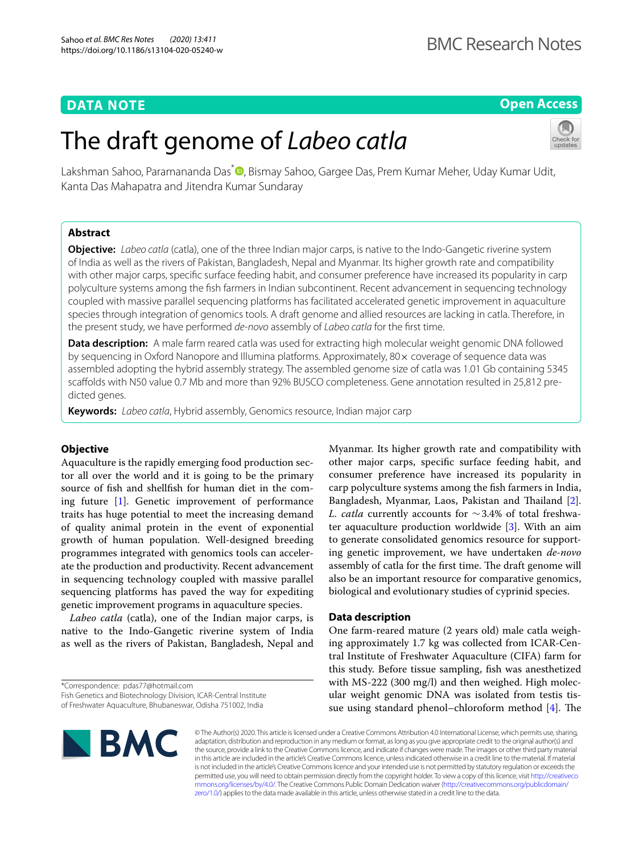# **DATA NOTE**

# **Open Access**

# The draft genome of *Labeo catla*



Lakshman Sahoo[,](http://orcid.org/0000-0001-5525-2430) Paramananda Das<sup>\*</sup> , Bismay Sahoo, Gargee Das, Prem Kumar Meher, Uday Kumar Udit, Kanta Das Mahapatra and Jitendra Kumar Sundaray

# **Abstract**

**Objective:** *Labeo catla* (catla), one of the three Indian major carps, is native to the Indo-Gangetic riverine system of India as well as the rivers of Pakistan, Bangladesh, Nepal and Myanmar. Its higher growth rate and compatibility with other major carps, specifc surface feeding habit, and consumer preference have increased its popularity in carp polyculture systems among the fsh farmers in Indian subcontinent. Recent advancement in sequencing technology coupled with massive parallel sequencing platforms has facilitated accelerated genetic improvement in aquaculture species through integration of genomics tools. A draft genome and allied resources are lacking in catla. Therefore, in the present study, we have performed *de-novo* assembly of *Labeo catla* for the frst time.

**Data description:** A male farm reared catla was used for extracting high molecular weight genomic DNA followed by sequencing in Oxford Nanopore and Illumina platforms. Approximately, 80 x coverage of sequence data was assembled adopting the hybrid assembly strategy. The assembled genome size of catla was 1.01 Gb containing 5345 scafolds with N50 value 0.7 Mb and more than 92% BUSCO completeness. Gene annotation resulted in 25,812 predicted genes.

**Keywords:** *Labeo catla*, Hybrid assembly, Genomics resource, Indian major carp

# **Objective**

Aquaculture is the rapidly emerging food production sector all over the world and it is going to be the primary source of fsh and shellfsh for human diet in the coming future [\[1](#page-2-0)]. Genetic improvement of performance traits has huge potential to meet the increasing demand of quality animal protein in the event of exponential growth of human population. Well-designed breeding programmes integrated with genomics tools can accelerate the production and productivity. Recent advancement in sequencing technology coupled with massive parallel sequencing platforms has paved the way for expediting genetic improvement programs in aquaculture species.

*Labeo catla* (catla), one of the Indian major carps, is native to the Indo-Gangetic riverine system of India as well as the rivers of Pakistan, Bangladesh, Nepal and

\*Correspondence: pdas77@hotmail.com

Myanmar. Its higher growth rate and compatibility with other major carps, specifc surface feeding habit, and consumer preference have increased its popularity in carp polyculture systems among the fsh farmers in India, Bangladesh, Myanmar, Laos, Pakistan and Thailand [\[2](#page-2-1)]. *L. catla* currently accounts for ∼3.4% of total freshwater aquaculture production worldwide [\[3](#page-2-2)]. With an aim to generate consolidated genomics resource for supporting genetic improvement, we have undertaken *de-novo* assembly of catla for the first time. The draft genome will also be an important resource for comparative genomics, biological and evolutionary studies of cyprinid species.

# **Data description**

One farm-reared mature (2 years old) male catla weighing approximately 1.7 kg was collected from ICAR-Central Institute of Freshwater Aquaculture (CIFA) farm for this study. Before tissue sampling, fsh was anesthetized with MS-222 (300 mg/l) and then weighed. High molecular weight genomic DNA was isolated from testis tissue using standard phenol–chloroform method  $[4]$  $[4]$ . The



© The Author(s) 2020. This article is licensed under a Creative Commons Attribution 4.0 International License, which permits use, sharing, adaptation, distribution and reproduction in any medium or format, as long as you give appropriate credit to the original author(s) and the source, provide a link to the Creative Commons licence, and indicate if changes were made. The images or other third party material in this article are included in the article's Creative Commons licence, unless indicated otherwise in a credit line to the material. If material is not included in the article's Creative Commons licence and your intended use is not permitted by statutory regulation or exceeds the permitted use, you will need to obtain permission directly from the copyright holder. To view a copy of this licence, visit [http://creativeco](http://creativecommons.org/licenses/by/4.0/) [mmons.org/licenses/by/4.0/.](http://creativecommons.org/licenses/by/4.0/) The Creative Commons Public Domain Dedication waiver ([http://creativecommons.org/publicdomain/](http://creativecommons.org/publicdomain/zero/1.0/) [zero/1.0/\)](http://creativecommons.org/publicdomain/zero/1.0/) applies to the data made available in this article, unless otherwise stated in a credit line to the data.

Fish Genetics and Biotechnology Division, ICAR-Central Institute of Freshwater Aquaculture, Bhubaneswar, Odisha 751002, India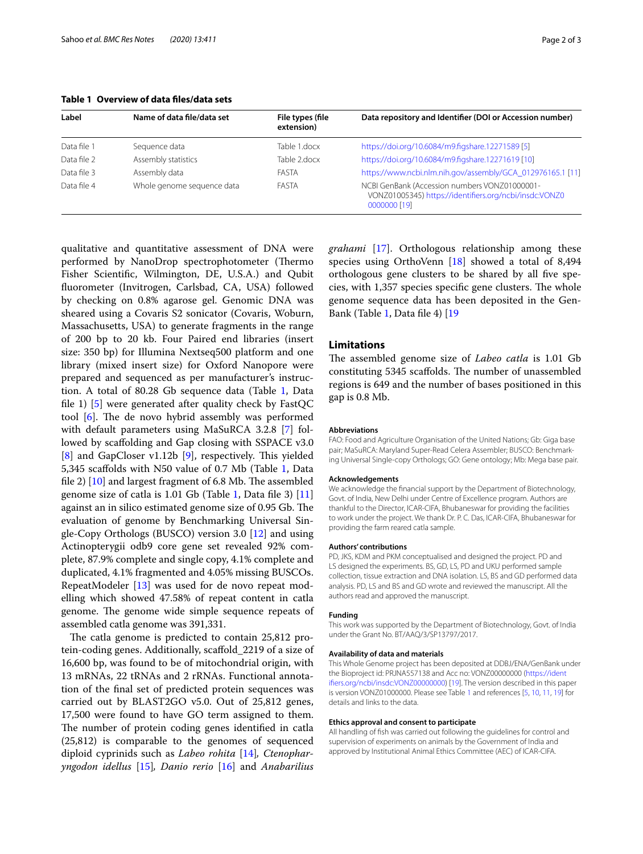<span id="page-1-0"></span>**Table 1 Overview of data fles/data sets**

| Label       | Name of data file/data set | File types (file<br>extension) | Data repository and Identifier (DOI or Accession number)                                                                |
|-------------|----------------------------|--------------------------------|-------------------------------------------------------------------------------------------------------------------------|
| Data file 1 | Sequence data              | Table 1.docx                   | https://doi.org/10.6084/m9.figshare.12271589 [5]                                                                        |
| Data file 2 | Assembly statistics        | Table 2.docx                   | https://doi.org/10.6084/m9.figshare.12271619 [10]                                                                       |
| Data file 3 | Assembly data              | FASTA                          | https://www.ncbi.nlm.nih.gov/assembly/GCA 012976165.1 [11]                                                              |
| Data file 4 | Whole genome sequence data | FASTA                          | NCBI GenBank (Accession numbers VONZ01000001-<br>VONZ01005345) https://identifiers.org/ncbi/insdc:VONZ0<br>0000000 [19] |

qualitative and quantitative assessment of DNA were performed by NanoDrop spectrophotometer (Thermo Fisher Scientifc, Wilmington, DE, U.S.A.) and Qubit fuorometer (Invitrogen, Carlsbad, CA, USA) followed by checking on 0.8% agarose gel. Genomic DNA was sheared using a Covaris S2 sonicator (Covaris, Woburn, Massachusetts, USA) to generate fragments in the range of 200 bp to 20 kb. Four Paired end libraries (insert size: 350 bp) for Illumina Nextseq500 platform and one library (mixed insert size) for Oxford Nanopore were prepared and sequenced as per manufacturer's instruction. A total of 80.28 Gb sequence data (Table [1,](#page-1-0) Data fle 1) [\[5](#page-2-4)] were generated after quality check by FastQC tool  $[6]$  $[6]$  $[6]$ . The de novo hybrid assembly was performed with default parameters using MaSuRCA 3.2.8 [[7\]](#page-2-6) followed by scaffolding and Gap closing with SSPACE v3.0  $[8]$  $[8]$  and GapCloser v1.12b  $[9]$  $[9]$ , respectively. This yielded 5,345 scafolds with N50 value of 0.7 Mb (Table [1,](#page-1-0) Data file 2)  $[10]$  and largest fragment of 6.8 Mb. The assembled genome size of catla is 1.01 Gb (Table [1,](#page-1-0) Data fle 3) [[11](#page-2-10)] against an in silico estimated genome size of 0.95 Gb. The evaluation of genome by Benchmarking Universal Single-Copy Orthologs (BUSCO) version 3.0 [\[12](#page-2-11)] and using Actinopterygii odb9 core gene set revealed 92% complete, 87.9% complete and single copy, 4.1% complete and duplicated, 4.1% fragmented and 4.05% missing BUSCOs. RepeatModeler [[13](#page-2-12)] was used for de novo repeat modelling which showed 47.58% of repeat content in catla genome. The genome wide simple sequence repeats of assembled catla genome was 391,331.

The catla genome is predicted to contain 25,812 protein-coding genes. Additionally, scafold\_2219 of a size of 16,600 bp, was found to be of mitochondrial origin, with 13 mRNAs, 22 tRNAs and 2 rRNAs. Functional annotation of the fnal set of predicted protein sequences was carried out by BLAST2GO v5.0. Out of 25,812 genes, 17,500 were found to have GO term assigned to them. The number of protein coding genes identified in catla (25,812) is comparable to the genomes of sequenced diploid cyprinids such as *Labeo rohita* [\[14\]](#page-2-13)*, Ctenopharyngodon idellus* [\[15](#page-2-14)]*, Danio rerio* [\[16](#page-2-15)] and *Anabarilius*  *grahami* [\[17](#page-2-16)]. Orthologous relationship among these species using OrthoVenn [[18\]](#page-2-17) showed a total of 8,494 orthologous gene clusters to be shared by all fve species, with 1,357 species specific gene clusters. The whole genome sequence data has been deposited in the Gen-Bank (Table [1,](#page-1-0) Data file 4) [\[19](#page-2-18)]

## **Limitations**

The assembled genome size of *Labeo catla* is 1.01 Gb constituting 5345 scaffolds. The number of unassembled regions is 649 and the number of bases positioned in this gap is 0.8 Mb.

## **Abbreviations**

FAO: Food and Agriculture Organisation of the United Nations; Gb: Giga base pair; MaSuRCA: Maryland Super-Read Celera Assembler; BUSCO: Benchmarking Universal Single-copy Orthologs; GO: Gene ontology; Mb: Mega base pair.

#### **Acknowledgements**

We acknowledge the fnancial support by the Department of Biotechnology, Govt. of India, New Delhi under Centre of Excellence program. Authors are thankful to the Director, ICAR-CIFA, Bhubaneswar for providing the facilities to work under the project. We thank Dr. P. C. Das, ICAR-CIFA, Bhubaneswar for providing the farm reared catla sample.

#### **Authors' contributions**

PD, JKS, KDM and PKM conceptualised and designed the project. PD and LS designed the experiments. BS, GD, LS, PD and UKU performed sample collection, tissue extraction and DNA isolation. LS, BS and GD performed data analysis. PD, LS and BS and GD wrote and reviewed the manuscript. All the authors read and approved the manuscript.

#### **Funding**

This work was supported by the Department of Biotechnology, Govt. of India under the Grant No. BT/AAQ/3/SP13797/2017.

#### **Availability of data and materials**

This Whole Genome project has been deposited at DDBJ/ENA/GenBank under the Bioproject id: PRJNA557138 and Acc no: VONZ00000000 [\(https://ident](https://identifiers.org/ncbi/insdc:VONZ00000000) [ifers.org/ncbi/insdc:VONZ00000000](https://identifiers.org/ncbi/insdc:VONZ00000000)) [\[19](#page-2-18)]. The version described in this paper is version VONZ01000000. Please see Table [1](#page-1-0) and references [[5](#page-2-4), [10,](#page-2-9) [11,](#page-2-10) [19](#page-2-18)] for details and links to the data.

#### **Ethics approval and consent to participate**

All handling of fsh was carried out following the guidelines for control and supervision of experiments on animals by the Government of India and approved by Institutional Animal Ethics Committee (AEC) of ICAR-CIFA.